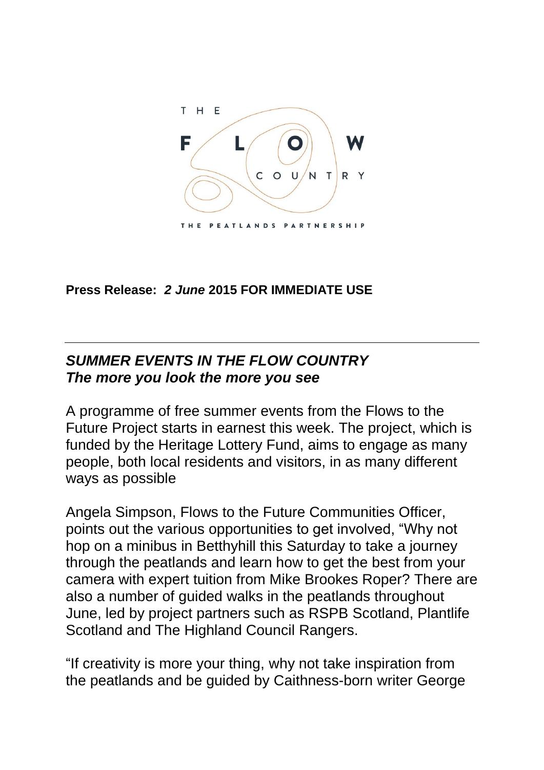

**Press Release:** *2 June* **2015 FOR IMMEDIATE USE**

## *SUMMER EVENTS IN THE FLOW COUNTRY The more you look the more you see*

A programme of free summer events from the Flows to the Future Project starts in earnest this week. The project, which is funded by the Heritage Lottery Fund, aims to engage as many people, both local residents and visitors, in as many different ways as possible

Angela Simpson, Flows to the Future Communities Officer, points out the various opportunities to get involved, "Why not hop on a minibus in Betthyhill this Saturday to take a journey through the peatlands and learn how to get the best from your camera with expert tuition from Mike Brookes Roper? There are also a number of guided walks in the peatlands throughout June, led by project partners such as RSPB Scotland, Plantlife Scotland and The Highland Council Rangers.

"If creativity is more your thing, why not take inspiration from the peatlands and be guided by Caithness-born writer George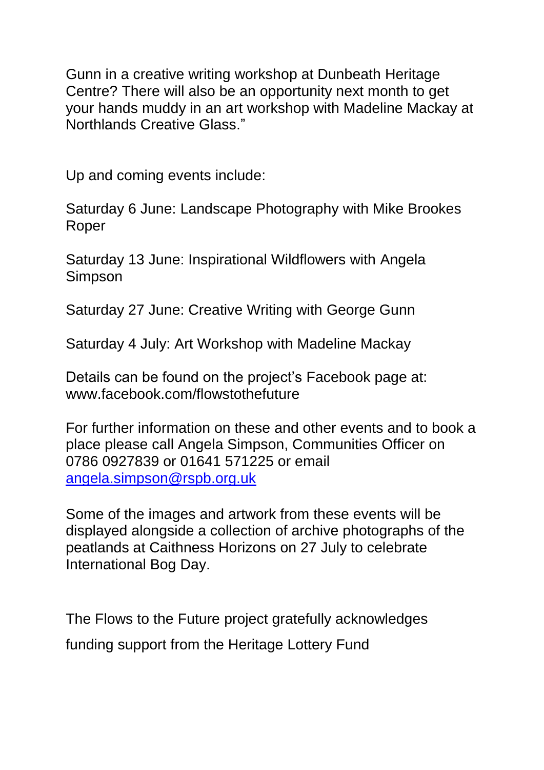Gunn in a creative writing workshop at Dunbeath Heritage Centre? There will also be an opportunity next month to get your hands muddy in an art workshop with Madeline Mackay at Northlands Creative Glass."

Up and coming events include:

Saturday 6 June: Landscape Photography with Mike Brookes Roper

Saturday 13 June: Inspirational Wildflowers with Angela Simpson

Saturday 27 June: Creative Writing with George Gunn

Saturday 4 July: Art Workshop with Madeline Mackay

Details can be found on the project's Facebook page at: www.facebook.com/flowstothefuture

For further information on these and other events and to book a place please call Angela Simpson, Communities Officer on 0786 0927839 or 01641 571225 or email [angela.simpson@rspb.org.uk](mailto:angela.simpson@rspb.org.uk)

Some of the images and artwork from these events will be displayed alongside a collection of archive photographs of the peatlands at Caithness Horizons on 27 July to celebrate International Bog Day.

The Flows to the Future project gratefully acknowledges funding support from the Heritage Lottery Fund